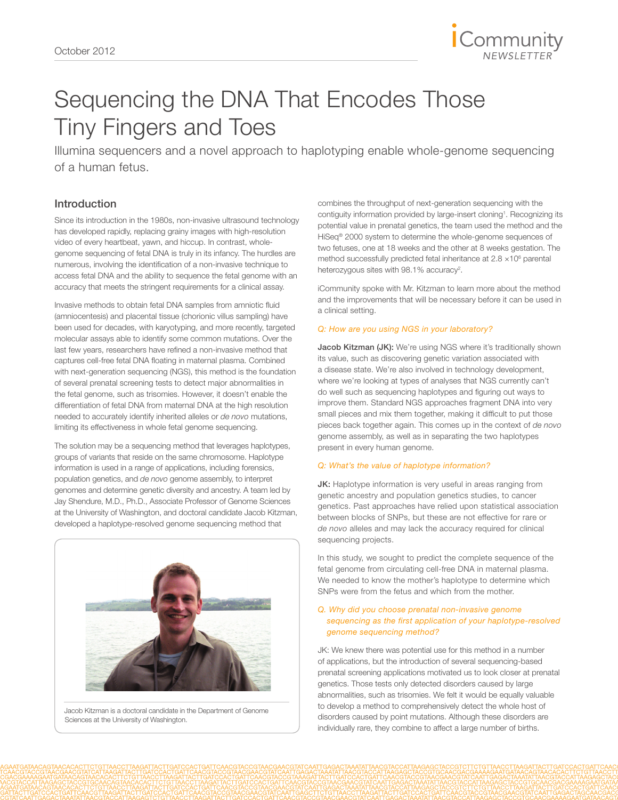

# Sequencing the DNA That Encodes Those Tiny Fingers and Toes

Illumina sequencers and a novel approach to haplotyping enable whole-genome sequencing of a human fetus.

# Introduction

Since its introduction in the 1980s, non-invasive ultrasound technology has developed rapidly, replacing grainy images with high-resolution video of every heartbeat, yawn, and hiccup. In contrast, wholegenome sequencing of fetal DNA is truly in its infancy. The hurdles are numerous, involving the identification of a non-invasive technique to access fetal DNA and the ability to sequence the fetal genome with an accuracy that meets the stringent requirements for a clinical assay.

Invasive methods to obtain fetal DNA samples from amniotic fluid (amniocentesis) and placental tissue (chorionic villus sampling) have been used for decades, with karyotyping, and more recently, targeted molecular assays able to identify some common mutations. Over the last few years, researchers have refined a non-invasive method that captures cell-free fetal DNA floating in maternal plasma. Combined with next-generation sequencing (NGS), this method is the foundation of several prenatal screening tests to detect major abnormalities in the fetal genome, such as trisomies. However, it doesn't enable the differentiation of fetal DNA from maternal DNA at the high resolution needed to accurately identify inherited alleles or *de novo* mutations, limiting its effectiveness in whole fetal genome sequencing.

The solution may be a sequencing method that leverages haplotypes, groups of variants that reside on the same chromosome. Haplotype information is used in a range of applications, including forensics, population genetics, and *de novo* genome assembly, to interpret genomes and determine genetic diversity and ancestry. A team led by Jay Shendure, M.D., Ph.D., Associate Professor of Genome Sciences at the University of Washington, and doctoral candidate Jacob Kitzman, developed a haplotype-resolved genome sequencing method that



Jacob Kitzman is a doctoral candidate in the Department of Genome Sciences at the University of Washington.

combines the throughput of next-generation sequencing with the contiguity information provided by large-insert cloning<sup>1</sup>. Recognizing its potential value in prenatal genetics, the team used the method and the HiSeq® 2000 system to determine the whole-genome sequences of two fetuses, one at 18 weeks and the other at 8 weeks gestation. The method successfully predicted fetal inheritance at  $2.8 \times 10^6$  parental heterozygous sites with 98.1% accuracy<sup>2</sup>.

iCommunity spoke with Mr. Kitzman to learn more about the method and the improvements that will be necessary before it can be used in a clinical setting.

# *Q: How are you using NGS in your laboratory?*

Jacob Kitzman (JK): We're using NGS where it's traditionally shown its value, such as discovering genetic variation associated with a disease state. We're also involved in technology development, where we're looking at types of analyses that NGS currently can't do well such as sequencing haplotypes and figuring out ways to improve them. Standard NGS approaches fragment DNA into very small pieces and mix them together, making it difficult to put those pieces back together again. This comes up in the context of *de novo* genome assembly, as well as in separating the two haplotypes present in every human genome.

#### *Q: What's the value of haplotype information?*

JK: Haplotype information is very useful in areas ranging from genetic ancestry and population genetics studies, to cancer genetics. Past approaches have relied upon statistical association between blocks of SNPs, but these are not effective for rare or *de novo* alleles and may lack the accuracy required for clinical sequencing projects.

In this study, we sought to predict the complete sequence of the fetal genome from circulating cell-free DNA in maternal plasma. We needed to know the mother's haplotype to determine which SNPs were from the fetus and which from the mother.

## *Q. Why did you choose prenatal non-invasive genome sequencing as the first application of your haplotype-resolved genome sequencing method?*

JK: We knew there was potential use for this method in a number of applications, but the introduction of several sequencing-based prenatal screening applications motivated us to look closer at prenatal genetics. Those tests only detected disorders caused by large abnormalities, such as trisomies. We felt it would be equally valuable to develop a method to comprehensively detect the whole host of disorders caused by point mutations. Although these disorders are individually rare, they combine to affect a large number of births.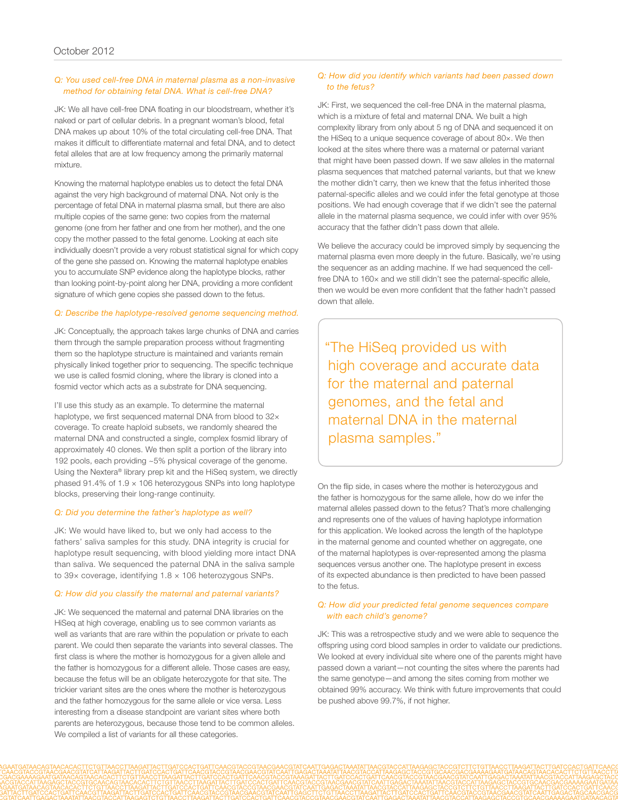### *Q: You used cell-free DNA in maternal plasma as a non-invasive method for obtaining fetal DNA. What is cell-free DNA?*

JK: We all have cell-free DNA floating in our bloodstream, whether it's naked or part of cellular debris. In a pregnant woman's blood, fetal DNA makes up about 10% of the total circulating cell-free DNA. That makes it difficult to differentiate maternal and fetal DNA, and to detect fetal alleles that are at low frequency among the primarily maternal mixture.

Knowing the maternal haplotype enables us to detect the fetal DNA against the very high background of maternal DNA. Not only is the percentage of fetal DNA in maternal plasma small, but there are also multiple copies of the same gene: two copies from the maternal genome (one from her father and one from her mother), and the one copy the mother passed to the fetal genome. Looking at each site individually doesn't provide a very robust statistical signal for which copy of the gene she passed on. Knowing the maternal haplotype enables you to accumulate SNP evidence along the haplotype blocks, rather than looking point-by-point along her DNA, providing a more confident signature of which gene copies she passed down to the fetus.

#### *Q: Describe the haplotype-resolved genome sequencing method.*

JK: Conceptually, the approach takes large chunks of DNA and carries them through the sample preparation process without fragmenting them so the haplotype structure is maintained and variants remain physically linked together prior to sequencing. The specific technique we use is called fosmid cloning, where the library is cloned into a fosmid vector which acts as a substrate for DNA sequencing.

I'll use this study as an example. To determine the maternal haplotype, we first sequenced maternal DNA from blood to 32× coverage. To create haploid subsets, we randomly sheared the maternal DNA and constructed a single, complex fosmid library of approximately 40 clones. We then split a portion of the library into 192 pools, each providing ~5% physical coverage of the genome. Using the Nextera® library prep kit and the HiSeq system, we directly phased 91.4% of 1.9 × 106 heterozygous SNPs into long haplotype blocks, preserving their long-range continuity.

#### *Q: Did you determine the father's haplotype as well?*

JK: We would have liked to, but we only had access to the fathers' saliva samples for this study. DNA integrity is crucial for haplotype result sequencing, with blood yielding more intact DNA than saliva. We sequenced the paternal DNA in the saliva sample to 39× coverage, identifying 1.8 × 106 heterozygous SNPs.

#### *Q: How did you classify the maternal and paternal variants?*

JK: We sequenced the maternal and paternal DNA libraries on the HiSeq at high coverage, enabling us to see common variants as well as variants that are rare within the population or private to each parent. We could then separate the variants into several classes. The first class is where the mother is homozygous for a given allele and the father is homozygous for a different allele. Those cases are easy, because the fetus will be an obligate heterozygote for that site. The trickier variant sites are the ones where the mother is heterozygous and the father homozygous for the same allele or vice versa. Less interesting from a disease standpoint are variant sites where both parents are heterozygous, because those tend to be common alleles. We compiled a list of variants for all these categories.

#### *Q: How did you identify which variants had been passed down to the fetus?*

JK: First, we sequenced the cell-free DNA in the maternal plasma, which is a mixture of fetal and maternal DNA. We built a high complexity library from only about 5 ng of DNA and sequenced it on the HiSeq to a unique sequence coverage of about 80×. We then looked at the sites where there was a maternal or paternal variant that might have been passed down. If we saw alleles in the maternal plasma sequences that matched paternal variants, but that we knew the mother didn't carry, then we knew that the fetus inherited those paternal-specific alleles and we could infer the fetal genotype at those positions. We had enough coverage that if we didn't see the paternal allele in the maternal plasma sequence, we could infer with over 95% accuracy that the father didn't pass down that allele.

We believe the accuracy could be improved simply by sequencing the maternal plasma even more deeply in the future. Basically, we're using the sequencer as an adding machine. If we had sequenced the cellfree DNA to 160× and we still didn't see the paternal-specific allele, then we would be even more confident that the father hadn't passed down that allele.

"The HiSeq provided us with high coverage and accurate data for the maternal and paternal genomes, and the fetal and maternal DNA in the maternal plasma samples."

On the flip side, in cases where the mother is heterozygous and the father is homozygous for the same allele, how do we infer the maternal alleles passed down to the fetus? That's more challenging and represents one of the values of having haplotype information for this application. We looked across the length of the haplotype in the maternal genome and counted whether on aggregate, one of the maternal haplotypes is over-represented among the plasma sequences versus another one. The haplotype present in excess of its expected abundance is then predicted to have been passed to the fetus.

#### *Q: How did your predicted fetal genome sequences compare with each child's genome?*

JK: This was a retrospective study and we were able to sequence the offspring using cord blood samples in order to validate our predictions. We looked at every individual site where one of the parents might have passed down a variant—not counting the sites where the parents had the same genotype—and among the sites coming from mother we obtained 99% accuracy. We think with future improvements that could be pushed above 99.7%, if not higher.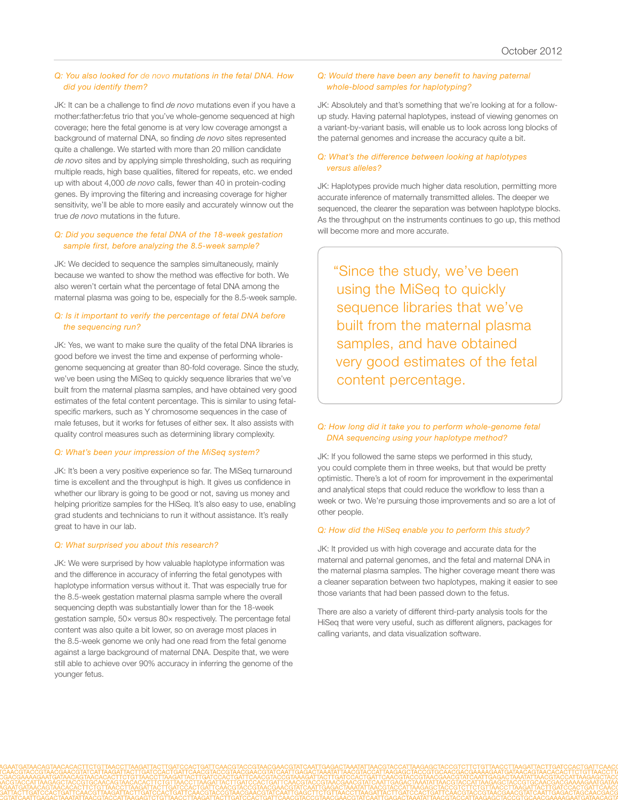#### *Q: You also looked for de novo mutations in the fetal DNA. How did you identify them?*

JK: It can be a challenge to find *de novo* mutations even if you have a mother:father:fetus trio that you've whole-genome sequenced at high coverage; here the fetal genome is at very low coverage amongst a background of maternal DNA, so finding *de novo* sites represented quite a challenge. We started with more than 20 million candidate *de novo* sites and by applying simple thresholding, such as requiring multiple reads, high base qualities, filtered for repeats, etc. we ended up with about 4,000 *de novo* calls, fewer than 40 in protein-coding genes. By improving the filtering and increasing coverage for higher sensitivity, we'll be able to more easily and accurately winnow out the true *de novo* mutations in the future.

#### *Q: Did you sequence the fetal DNA of the 18-week gestation sample first, before analyzing the 8.5-week sample?*

JK: We decided to sequence the samples simultaneously, mainly because we wanted to show the method was effective for both. We also weren't certain what the percentage of fetal DNA among the maternal plasma was going to be, especially for the 8.5-week sample.

#### *Q: Is it important to verify the percentage of fetal DNA before the sequencing run?*

JK: Yes, we want to make sure the quality of the fetal DNA libraries is good before we invest the time and expense of performing wholegenome sequencing at greater than 80-fold coverage. Since the study, we've been using the MiSeq to quickly sequence libraries that we've built from the maternal plasma samples, and have obtained very good estimates of the fetal content percentage. This is similar to using fetalspecific markers, such as Y chromosome sequences in the case of male fetuses, but it works for fetuses of either sex. It also assists with quality control measures such as determining library complexity.

#### *Q: What's been your impression of the MiSeq system?*

JK: It's been a very positive experience so far. The MiSeq turnaround time is excellent and the throughput is high. It gives us confidence in whether our library is going to be good or not, saving us money and helping prioritize samples for the HiSeq. It's also easy to use, enabling grad students and technicians to run it without assistance. It's really great to have in our lab.

#### *Q: What surprised you about this research?*

JK: We were surprised by how valuable haplotype information was and the difference in accuracy of inferring the fetal genotypes with haplotype information versus without it. That was especially true for the 8.5-week gestation maternal plasma sample where the overall sequencing depth was substantially lower than for the 18-week gestation sample, 50× versus 80× respectively. The percentage fetal content was also quite a bit lower, so on average most places in the 8.5-week genome we only had one read from the fetal genome against a large background of maternal DNA. Despite that, we were still able to achieve over 90% accuracy in inferring the genome of the younger fetus.

#### *Q: Would there have been any benefit to having paternal whole-blood samples for haplotyping?*

JK: Absolutely and that's something that we're looking at for a followup study. Having paternal haplotypes, instead of viewing genomes on a variant-by-variant basis, will enable us to look across long blocks of the paternal genomes and increase the accuracy quite a bit.

#### *Q: What's the difference between looking at haplotypes versus alleles?*

JK: Haplotypes provide much higher data resolution, permitting more accurate inference of maternally transmitted alleles. The deeper we sequenced, the clearer the separation was between haplotype blocks. As the throughput on the instruments continues to go up, this method will become more and more accurate.

"Since the study, we've been using the MiSeq to quickly sequence libraries that we've built from the maternal plasma samples, and have obtained very good estimates of the fetal content percentage.

# *Q: How long did it take you to perform whole-genome fetal DNA sequencing using your haplotype method?*

JK: If you followed the same steps we performed in this study, you could complete them in three weeks, but that would be pretty optimistic. There's a lot of room for improvement in the experimental and analytical steps that could reduce the workflow to less than a week or two. We're pursuing those improvements and so are a lot of other people.

#### *Q: How did the HiSeq enable you to perform this study?*

JK: It provided us with high coverage and accurate data for the maternal and paternal genomes, and the fetal and maternal DNA in the maternal plasma samples. The higher coverage meant there was a cleaner separation between two haplotypes, making it easier to see those variants that had been passed down to the fetus.

There are also a variety of different third-party analysis tools for the HiSeq that were very useful, such as different aligners, packages for calling variants, and data visualization software.